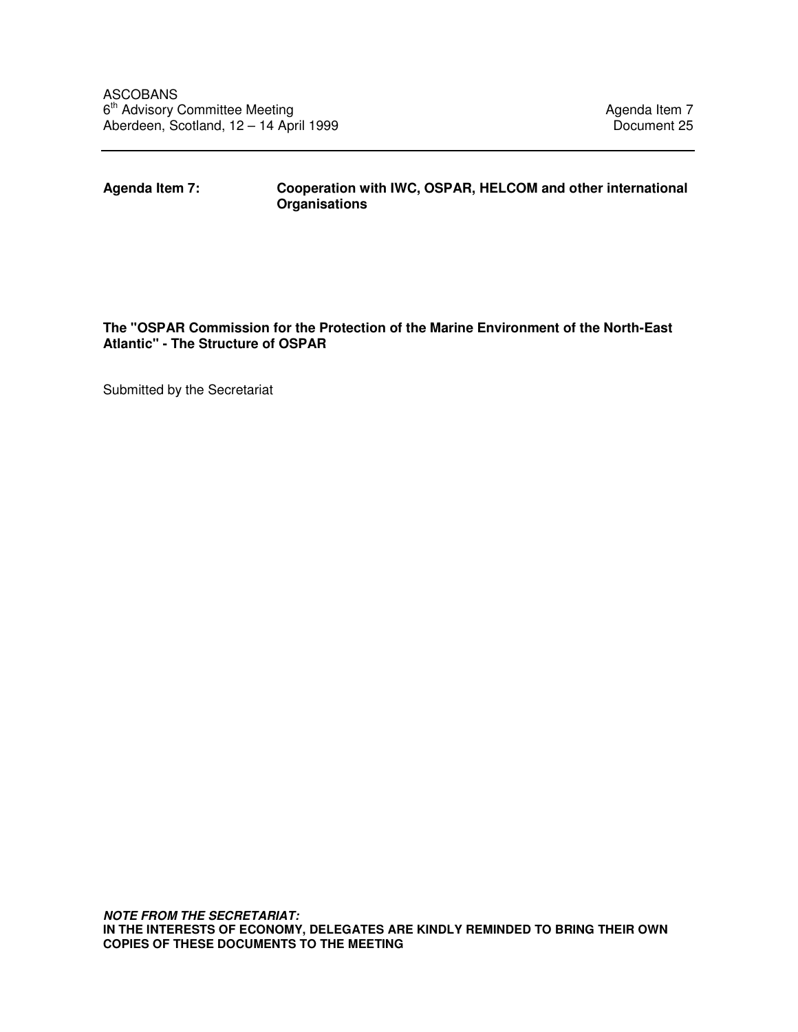## **Agenda Item 7: Cooperation with IWC, OSPAR, HELCOM and other international Organisations**

### **The "OSPAR Commission for the Protection of the Marine Environment of the North-East Atlantic" - The Structure of OSPAR**

Submitted by the Secretariat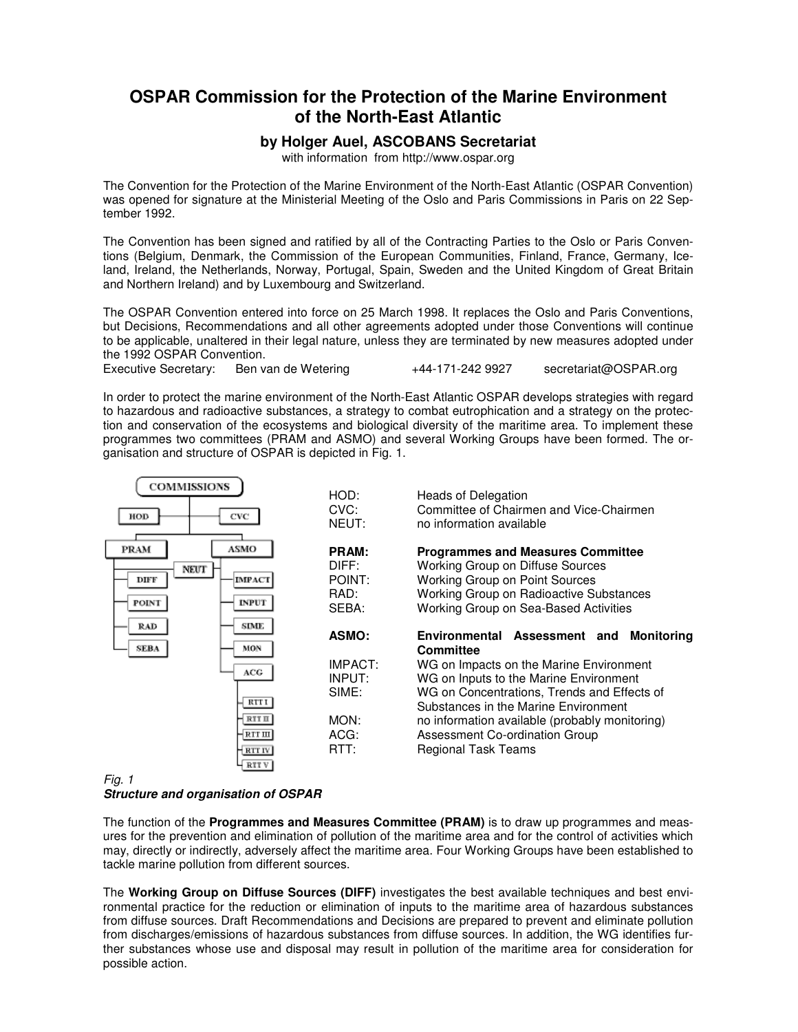# **OSPAR Commission for the Protection of the Marine Environment of the North-East Atlantic**

#### **by Holger Auel, ASCOBANS Secretariat**

with information from http://www.ospar.org

The Convention for the Protection of the Marine Environment of the North-East Atlantic (OSPAR Convention) was opened for signature at the Ministerial Meeting of the Oslo and Paris Commissions in Paris on 22 September 1992.

The Convention has been signed and ratified by all of the Contracting Parties to the Oslo or Paris Conventions (Belgium, Denmark, the Commission of the European Communities, Finland, France, Germany, Iceland, Ireland, the Netherlands, Norway, Portugal, Spain, Sweden and the United Kingdom of Great Britain and Northern Ireland) and by Luxembourg and Switzerland.

The OSPAR Convention entered into force on 25 March 1998. It replaces the Oslo and Paris Conventions, but Decisions, Recommendations and all other agreements adopted under those Conventions will continue to be applicable, unaltered in their legal nature, unless they are terminated by new measures adopted under the 1992 OSPAR Convention.

Executive Secretary: Ben van de Wetering  $+44-171-2429927$  secretariat@OSPAR.org

In order to protect the marine environment of the North-East Atlantic OSPAR develops strategies with regard to hazardous and radioactive substances, a strategy to combat eutrophication and a strategy on the protection and conservation of the ecosystems and biological diversity of the maritime area. To implement these programmes two committees (PRAM and ASMO) and several Working Groups have been formed. The organisation and structure of OSPAR is depicted in Fig. 1.



#### Fig. 1

#### **Structure and organisation of OSPAR**

The function of the **Programmes and Measures Committee (PRAM)** is to draw up programmes and measures for the prevention and elimination of pollution of the maritime area and for the control of activities which may, directly or indirectly, adversely affect the maritime area. Four Working Groups have been established to tackle marine pollution from different sources.

The **Working Group on Diffuse Sources (DIFF)** investigates the best available techniques and best environmental practice for the reduction or elimination of inputs to the maritime area of hazardous substances from diffuse sources. Draft Recommendations and Decisions are prepared to prevent and eliminate pollution from discharges/emissions of hazardous substances from diffuse sources. In addition, the WG identifies further substances whose use and disposal may result in pollution of the maritime area for consideration for possible action.